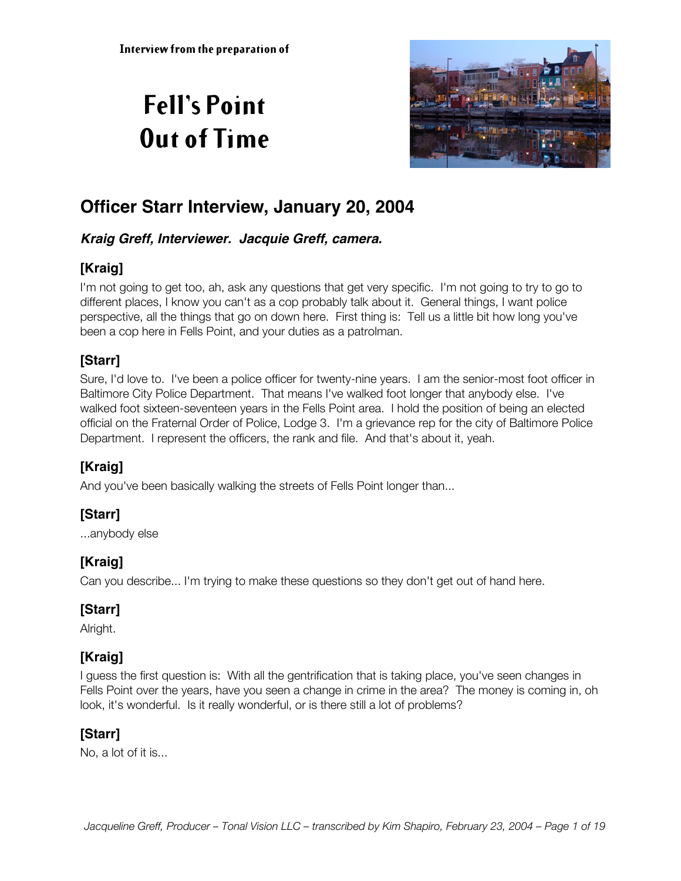# **Fell's Point Out of Time**



# **Officer Starr Interview, January 20, 2004**

#### **Kraig Greff, Interviewer. Jacquie Greff, camera.**

# **[Kraig]**

I'm not going to get too, ah, ask any questions that get very specific. I'm not going to try to go to different places, I know you can't as a cop probably talk about it. General things, I want police perspective, all the things that go on down here. First thing is: Tell us a little bit how long you've been a cop here in Fells Point, and your duties as a patrolman.

## **[Starr]**

Sure, I'd love to. I've been a police officer for twenty-nine years. I am the senior-most foot officer in Baltimore City Police Department. That means I've walked foot longer that anybody else. I've walked foot sixteen-seventeen years in the Fells Point area. I hold the position of being an elected official on the Fraternal Order of Police, Lodge 3. I'm a grievance rep for the city of Baltimore Police Department. I represent the officers, the rank and file. And that's about it, yeah.

# **[Kraig]**

And you've been basically walking the streets of Fells Point longer than...

## **[Starr]**

...anybody else

# **[Kraig]**

Can you describe... I'm trying to make these questions so they don't get out of hand here.

# **[Starr]**

Alright.

## **[Kraig]**

I guess the first question is: With all the gentrification that is taking place, you've seen changes in Fells Point over the years, have you seen a change in crime in the area? The money is coming in, oh look, it's wonderful. Is it really wonderful, or is there still a lot of problems?

## **[Starr]**

No, a lot of it is...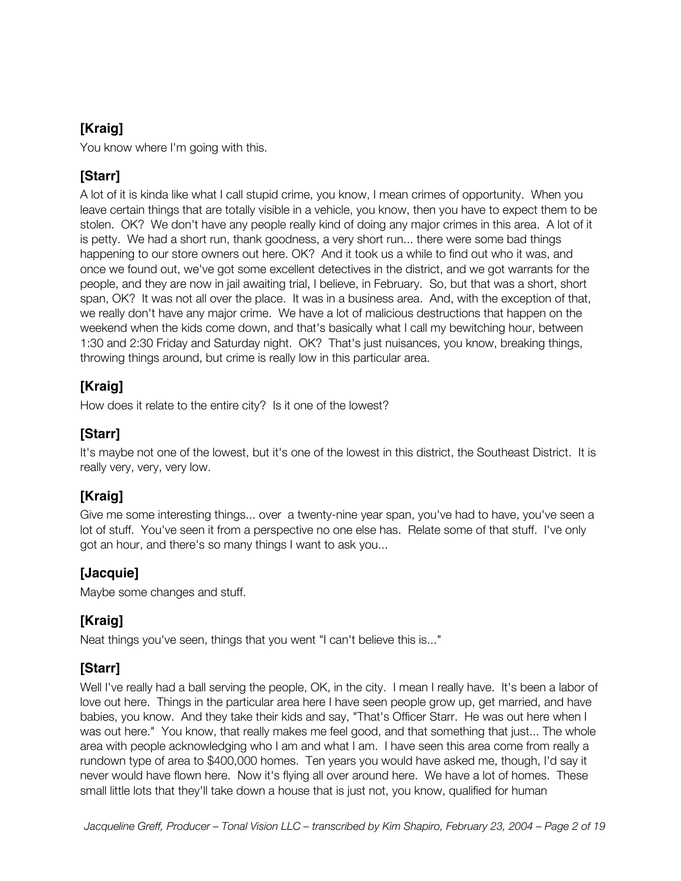You know where I'm going with this.

## **[Starr]**

A lot of it is kinda like what I call stupid crime, you know, I mean crimes of opportunity. When you leave certain things that are totally visible in a vehicle, you know, then you have to expect them to be stolen. OK? We don't have any people really kind of doing any major crimes in this area. A lot of it is petty. We had a short run, thank goodness, a very short run... there were some bad things happening to our store owners out here. OK? And it took us a while to find out who it was, and once we found out, we've got some excellent detectives in the district, and we got warrants for the people, and they are now in jail awaiting trial, I believe, in February. So, but that was a short, short span, OK? It was not all over the place. It was in a business area. And, with the exception of that, we really don't have any major crime. We have a lot of malicious destructions that happen on the weekend when the kids come down, and that's basically what I call my bewitching hour, between 1:30 and 2:30 Friday and Saturday night. OK? That's just nuisances, you know, breaking things, throwing things around, but crime is really low in this particular area.

## **[Kraig]**

How does it relate to the entire city? Is it one of the lowest?

# **[Starr]**

It's maybe not one of the lowest, but it's one of the lowest in this district, the Southeast District. It is really very, very, very low.

# **[Kraig]**

Give me some interesting things... over a twenty-nine year span, you've had to have, you've seen a lot of stuff. You've seen it from a perspective no one else has. Relate some of that stuff. I've only got an hour, and there's so many things I want to ask you...

## **[Jacquie]**

Maybe some changes and stuff.

## **[Kraig]**

Neat things you've seen, things that you went "I can't believe this is..."

## **[Starr]**

Well I've really had a ball serving the people, OK, in the city. I mean I really have. It's been a labor of love out here. Things in the particular area here I have seen people grow up, get married, and have babies, you know. And they take their kids and say, "That's Officer Starr. He was out here when I was out here." You know, that really makes me feel good, and that something that just... The whole area with people acknowledging who I am and what I am. I have seen this area come from really a rundown type of area to \$400,000 homes. Ten years you would have asked me, though, I'd say it never would have flown here. Now it's flying all over around here. We have a lot of homes. These small little lots that they'll take down a house that is just not, you know, qualified for human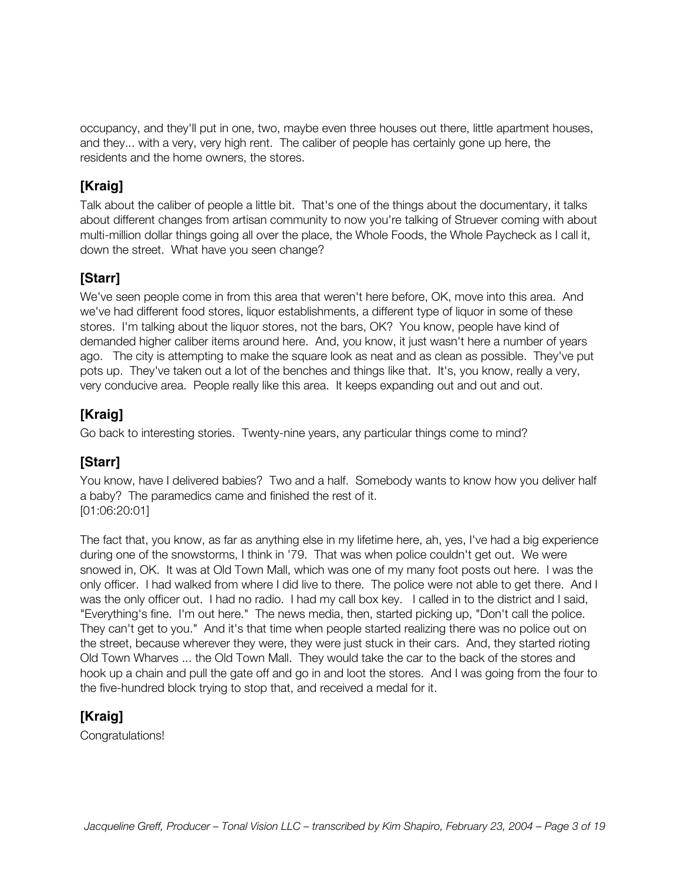occupancy, and they'll put in one, two, maybe even three houses out there, little apartment houses, and they... with a very, very high rent. The caliber of people has certainly gone up here, the residents and the home owners, the stores.

## **[Kraig]**

Talk about the caliber of people a little bit. That's one of the things about the documentary, it talks about different changes from artisan community to now you're talking of Struever coming with about multi-million dollar things going all over the place, the Whole Foods, the Whole Paycheck as I call it, down the street. What have you seen change?

# **[Starr]**

We've seen people come in from this area that weren't here before, OK, move into this area. And we've had different food stores, liquor establishments, a different type of liquor in some of these stores. I'm talking about the liquor stores, not the bars, OK? You know, people have kind of demanded higher caliber items around here. And, you know, it just wasn't here a number of years ago. The city is attempting to make the square look as neat and as clean as possible. They've put pots up. They've taken out a lot of the benches and things like that. It's, you know, really a very, very conducive area. People really like this area. It keeps expanding out and out and out.

## **[Kraig]**

Go back to interesting stories. Twenty-nine years, any particular things come to mind?

## **[Starr]**

You know, have I delivered babies? Two and a half. Somebody wants to know how you deliver half a baby? The paramedics came and finished the rest of it. [01:06:20:01]

The fact that, you know, as far as anything else in my lifetime here, ah, yes, I've had a big experience during one of the snowstorms, I think in '79. That was when police couldn't get out. We were snowed in, OK. It was at Old Town Mall, which was one of my many foot posts out here. I was the only officer. I had walked from where I did live to there. The police were not able to get there. And I was the only officer out. I had no radio. I had my call box key. I called in to the district and I said, "Everything's fine. I'm out here." The news media, then, started picking up, "Don't call the police. They can't get to you." And it's that time when people started realizing there was no police out on the street, because wherever they were, they were just stuck in their cars. And, they started rioting Old Town Wharves ... the Old Town Mall. They would take the car to the back of the stores and hook up a chain and pull the gate off and go in and loot the stores. And I was going from the four to the five-hundred block trying to stop that, and received a medal for it.

## **[Kraig]**

Congratulations!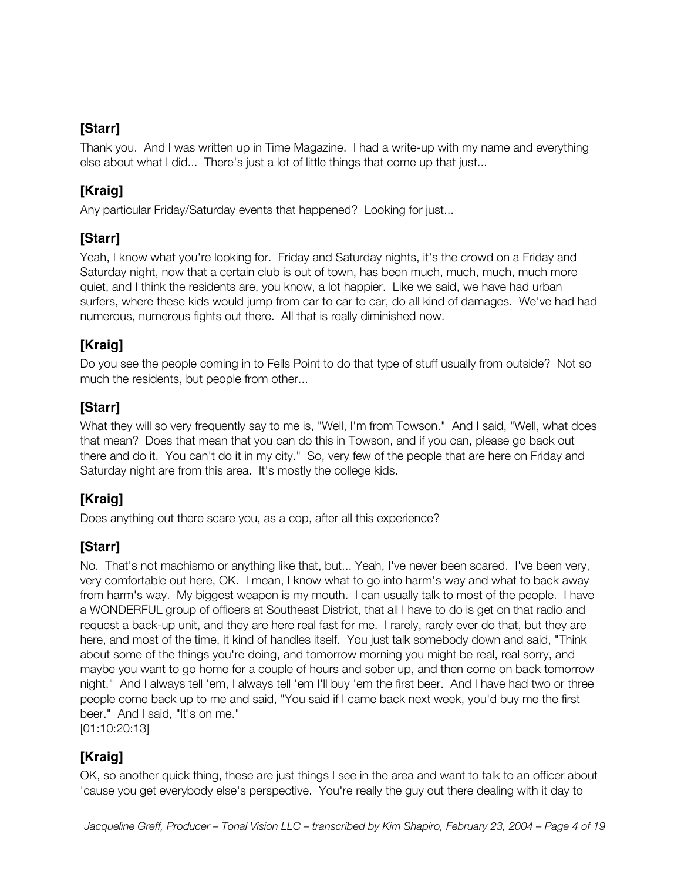Thank you. And I was written up in Time Magazine. I had a write-up with my name and everything else about what I did... There's just a lot of little things that come up that just...

## **[Kraig]**

Any particular Friday/Saturday events that happened? Looking for just...

## **[Starr]**

Yeah, I know what you're looking for. Friday and Saturday nights, it's the crowd on a Friday and Saturday night, now that a certain club is out of town, has been much, much, much, much more quiet, and I think the residents are, you know, a lot happier. Like we said, we have had urban surfers, where these kids would jump from car to car to car, do all kind of damages. We've had had numerous, numerous fights out there. All that is really diminished now.

## **[Kraig]**

Do you see the people coming in to Fells Point to do that type of stuff usually from outside? Not so much the residents, but people from other...

# **[Starr]**

What they will so very frequently say to me is, "Well, I'm from Towson." And I said, "Well, what does that mean? Does that mean that you can do this in Towson, and if you can, please go back out there and do it. You can't do it in my city." So, very few of the people that are here on Friday and Saturday night are from this area. It's mostly the college kids.

# **[Kraig]**

Does anything out there scare you, as a cop, after all this experience?

## **[Starr]**

No. That's not machismo or anything like that, but... Yeah, I've never been scared. I've been very, very comfortable out here, OK. I mean, I know what to go into harm's way and what to back away from harm's way. My biggest weapon is my mouth. I can usually talk to most of the people. I have a WONDERFUL group of officers at Southeast District, that all I have to do is get on that radio and request a back-up unit, and they are here real fast for me. I rarely, rarely ever do that, but they are here, and most of the time, it kind of handles itself. You just talk somebody down and said, "Think about some of the things you're doing, and tomorrow morning you might be real, real sorry, and maybe you want to go home for a couple of hours and sober up, and then come on back tomorrow night." And I always tell 'em, I always tell 'em I'll buy 'em the first beer. And I have had two or three people come back up to me and said, "You said if I came back next week, you'd buy me the first beer." And I said, "It's on me."

[01:10:20:13]

# **[Kraig]**

OK, so another quick thing, these are just things I see in the area and want to talk to an officer about 'cause you get everybody else's perspective. You're really the guy out there dealing with it day to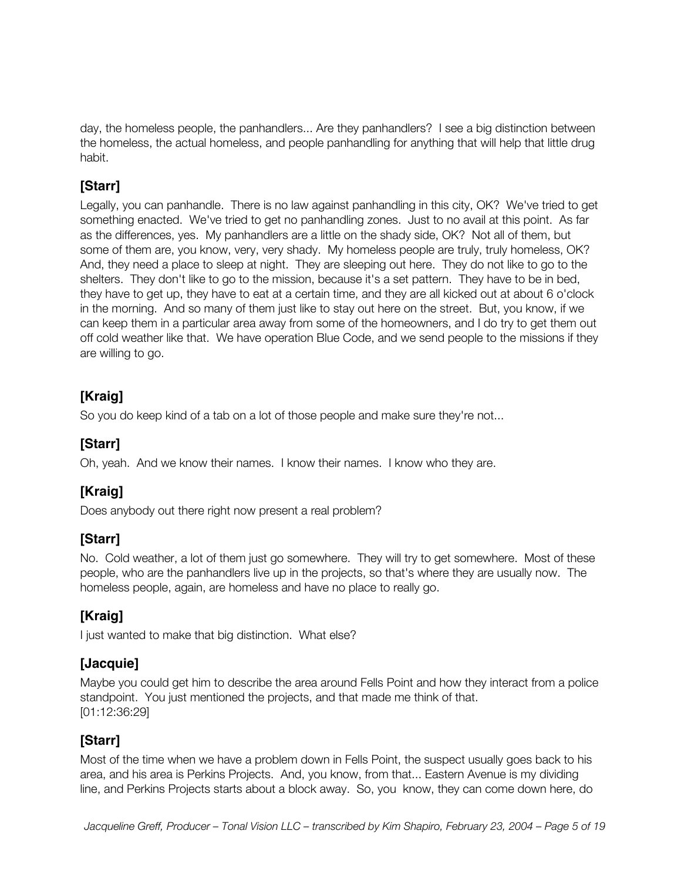day, the homeless people, the panhandlers... Are they panhandlers? I see a big distinction between the homeless, the actual homeless, and people panhandling for anything that will help that little drug habit.

## **[Starr]**

Legally, you can panhandle. There is no law against panhandling in this city, OK? We've tried to get something enacted. We've tried to get no panhandling zones. Just to no avail at this point. As far as the differences, yes. My panhandlers are a little on the shady side, OK? Not all of them, but some of them are, you know, very, very shady. My homeless people are truly, truly homeless, OK? And, they need a place to sleep at night. They are sleeping out here. They do not like to go to the shelters. They don't like to go to the mission, because it's a set pattern. They have to be in bed, they have to get up, they have to eat at a certain time, and they are all kicked out at about 6 o'clock in the morning. And so many of them just like to stay out here on the street. But, you know, if we can keep them in a particular area away from some of the homeowners, and I do try to get them out off cold weather like that. We have operation Blue Code, and we send people to the missions if they are willing to go.

## **[Kraig]**

So you do keep kind of a tab on a lot of those people and make sure they're not...

## **[Starr]**

Oh, yeah. And we know their names. I know their names. I know who they are.

## **[Kraig]**

Does anybody out there right now present a real problem?

## **[Starr]**

No. Cold weather, a lot of them just go somewhere. They will try to get somewhere. Most of these people, who are the panhandlers live up in the projects, so that's where they are usually now. The homeless people, again, are homeless and have no place to really go.

# **[Kraig]**

I just wanted to make that big distinction. What else?

## **[Jacquie]**

Maybe you could get him to describe the area around Fells Point and how they interact from a police standpoint. You just mentioned the projects, and that made me think of that. [01:12:36:29]

## **[Starr]**

Most of the time when we have a problem down in Fells Point, the suspect usually goes back to his area, and his area is Perkins Projects. And, you know, from that... Eastern Avenue is my dividing line, and Perkins Projects starts about a block away. So, you know, they can come down here, do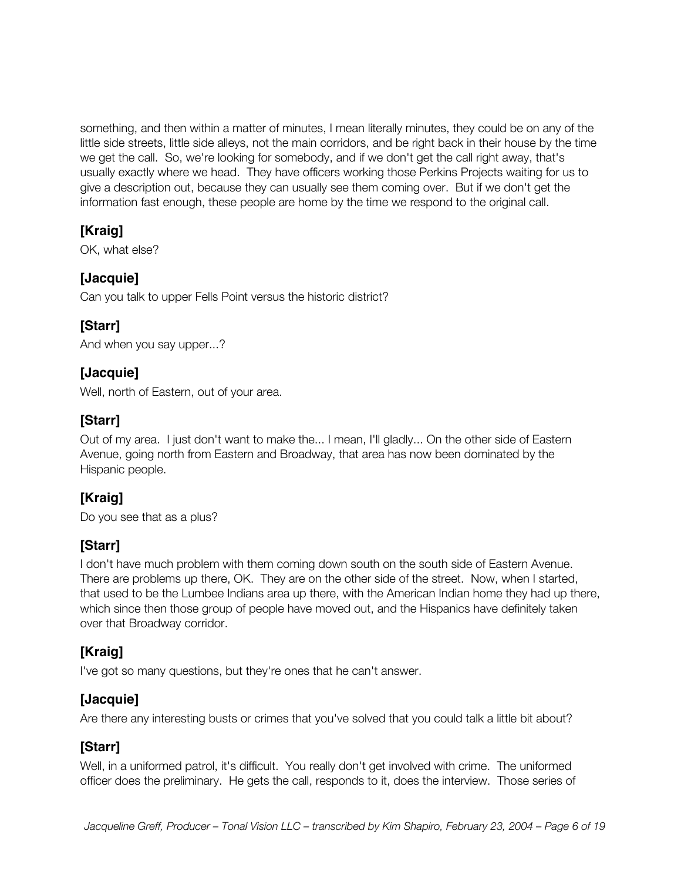something, and then within a matter of minutes, I mean literally minutes, they could be on any of the little side streets, little side alleys, not the main corridors, and be right back in their house by the time we get the call. So, we're looking for somebody, and if we don't get the call right away, that's usually exactly where we head. They have officers working those Perkins Projects waiting for us to give a description out, because they can usually see them coming over. But if we don't get the information fast enough, these people are home by the time we respond to the original call.

#### **[Kraig]**

OK, what else?

#### **[Jacquie]**

Can you talk to upper Fells Point versus the historic district?

## **[Starr]**

And when you say upper...?

#### **[Jacquie]**

Well, north of Eastern, out of your area.

#### **[Starr]**

Out of my area. I just don't want to make the... I mean, I'll gladly... On the other side of Eastern Avenue, going north from Eastern and Broadway, that area has now been dominated by the Hispanic people.

## **[Kraig]**

Do you see that as a plus?

#### **[Starr]**

I don't have much problem with them coming down south on the south side of Eastern Avenue. There are problems up there, OK. They are on the other side of the street. Now, when I started, that used to be the Lumbee Indians area up there, with the American Indian home they had up there, which since then those group of people have moved out, and the Hispanics have definitely taken over that Broadway corridor.

## **[Kraig]**

I've got so many questions, but they're ones that he can't answer.

#### **[Jacquie]**

Are there any interesting busts or crimes that you've solved that you could talk a little bit about?

## **[Starr]**

Well, in a uniformed patrol, it's difficult. You really don't get involved with crime. The uniformed officer does the preliminary. He gets the call, responds to it, does the interview. Those series of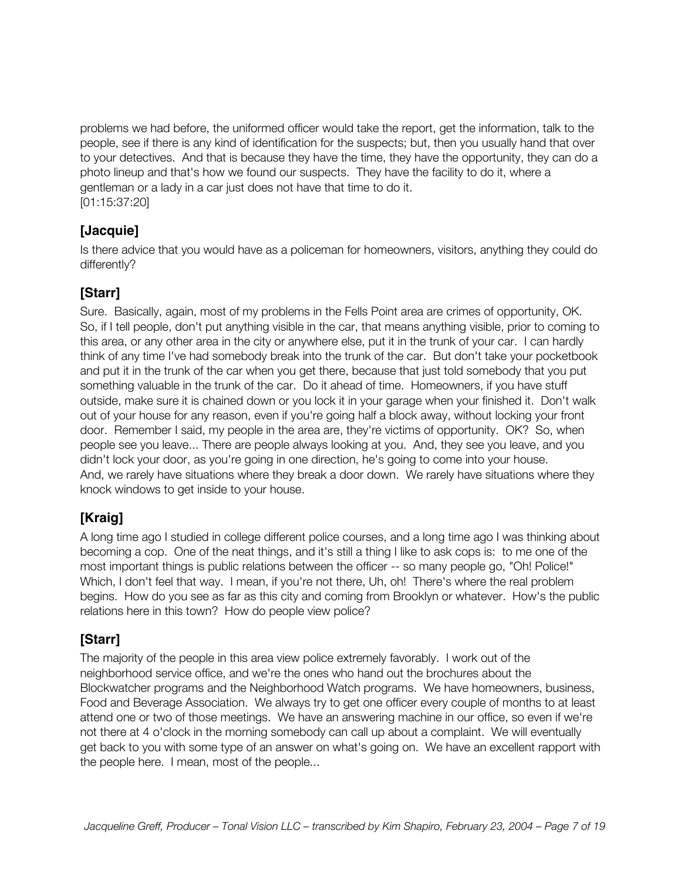problems we had before, the uniformed officer would take the report, get the information, talk to the people, see if there is any kind of identification for the suspects; but, then you usually hand that over to your detectives. And that is because they have the time, they have the opportunity, they can do a photo lineup and that's how we found our suspects. They have the facility to do it, where a gentleman or a lady in a car just does not have that time to do it. [01:15:37:20]

## **[Jacquie]**

Is there advice that you would have as a policeman for homeowners, visitors, anything they could do differently?

#### **[Starr]**

Sure. Basically, again, most of my problems in the Fells Point area are crimes of opportunity, OK. So, if I tell people, don't put anything visible in the car, that means anything visible, prior to coming to this area, or any other area in the city or anywhere else, put it in the trunk of your car. I can hardly think of any time I've had somebody break into the trunk of the car. But don't take your pocketbook and put it in the trunk of the car when you get there, because that just told somebody that you put something valuable in the trunk of the car. Do it ahead of time. Homeowners, if you have stuff outside, make sure it is chained down or you lock it in your garage when your finished it. Don't walk out of your house for any reason, even if you're going half a block away, without locking your front door. Remember I said, my people in the area are, they're victims of opportunity. OK? So, when people see you leave... There are people always looking at you. And, they see you leave, and you didn't lock your door, as you're going in one direction, he's going to come into your house. And, we rarely have situations where they break a door down. We rarely have situations where they knock windows to get inside to your house.

## **[Kraig]**

A long time ago I studied in college different police courses, and a long time ago I was thinking about becoming a cop. One of the neat things, and it's still a thing I like to ask cops is: to me one of the most important things is public relations between the officer -- so many people go, "Oh! Police!" Which, I don't feel that way. I mean, if you're not there, Uh, oh! There's where the real problem begins. How do you see as far as this city and coming from Brooklyn or whatever. How's the public relations here in this town? How do people view police?

#### **[Starr]**

The majority of the people in this area view police extremely favorably. I work out of the neighborhood service office, and we're the ones who hand out the brochures about the Blockwatcher programs and the Neighborhood Watch programs. We have homeowners, business, Food and Beverage Association. We always try to get one officer every couple of months to at least attend one or two of those meetings. We have an answering machine in our office, so even if we're not there at 4 o'clock in the morning somebody can call up about a complaint. We will eventually get back to you with some type of an answer on what's going on. We have an excellent rapport with the people here. I mean, most of the people...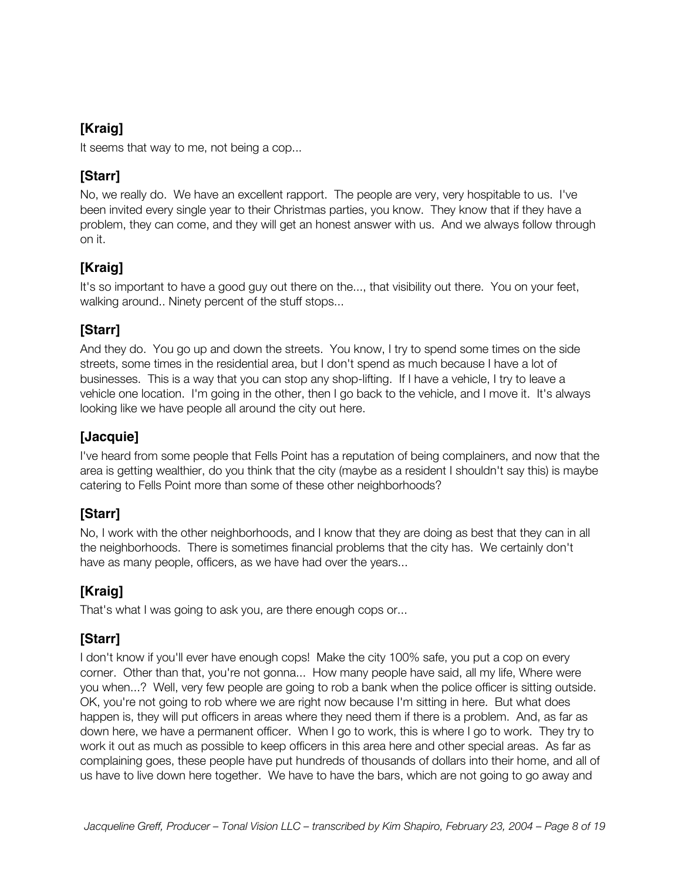It seems that way to me, not being a cop...

## **[Starr]**

No, we really do. We have an excellent rapport. The people are very, very hospitable to us. I've been invited every single year to their Christmas parties, you know. They know that if they have a problem, they can come, and they will get an honest answer with us. And we always follow through on it.

# **[Kraig]**

It's so important to have a good guy out there on the..., that visibility out there. You on your feet, walking around.. Ninety percent of the stuff stops...

## **[Starr]**

And they do. You go up and down the streets. You know, I try to spend some times on the side streets, some times in the residential area, but I don't spend as much because I have a lot of businesses. This is a way that you can stop any shop-lifting. If I have a vehicle, I try to leave a vehicle one location. I'm going in the other, then I go back to the vehicle, and I move it. It's always looking like we have people all around the city out here.

## **[Jacquie]**

I've heard from some people that Fells Point has a reputation of being complainers, and now that the area is getting wealthier, do you think that the city (maybe as a resident I shouldn't say this) is maybe catering to Fells Point more than some of these other neighborhoods?

## **[Starr]**

No, I work with the other neighborhoods, and I know that they are doing as best that they can in all the neighborhoods. There is sometimes financial problems that the city has. We certainly don't have as many people, officers, as we have had over the years...

# **[Kraig]**

That's what I was going to ask you, are there enough cops or...

## **[Starr]**

I don't know if you'll ever have enough cops! Make the city 100% safe, you put a cop on every corner. Other than that, you're not gonna... How many people have said, all my life, Where were you when...? Well, very few people are going to rob a bank when the police officer is sitting outside. OK, you're not going to rob where we are right now because I'm sitting in here. But what does happen is, they will put officers in areas where they need them if there is a problem. And, as far as down here, we have a permanent officer. When I go to work, this is where I go to work. They try to work it out as much as possible to keep officers in this area here and other special areas. As far as complaining goes, these people have put hundreds of thousands of dollars into their home, and all of us have to live down here together. We have to have the bars, which are not going to go away and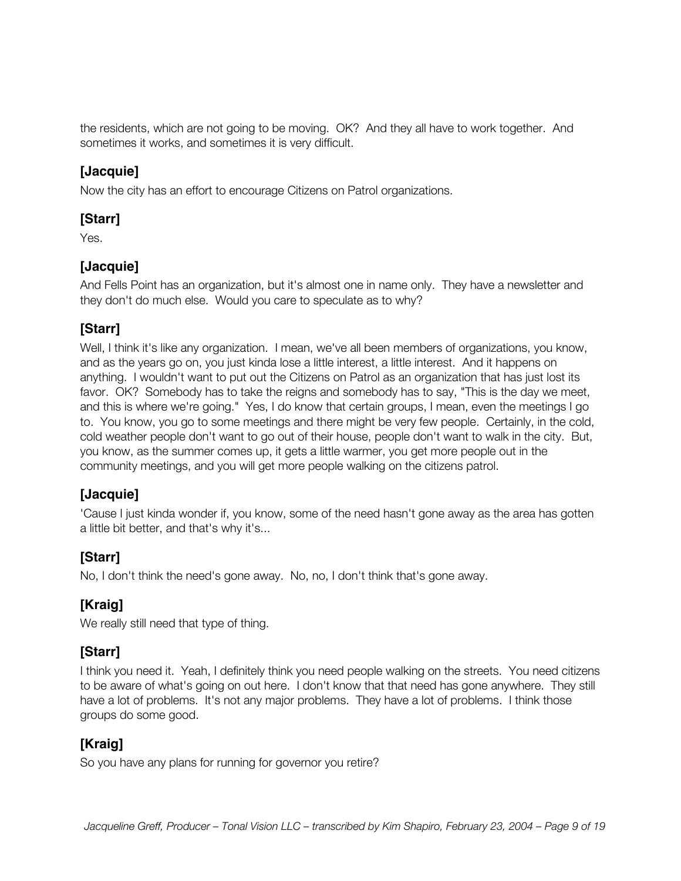the residents, which are not going to be moving. OK? And they all have to work together. And sometimes it works, and sometimes it is very difficult.

#### **[Jacquie]**

Now the city has an effort to encourage Citizens on Patrol organizations.

#### **[Starr]**

Yes.

#### **[Jacquie]**

And Fells Point has an organization, but it's almost one in name only. They have a newsletter and they don't do much else. Would you care to speculate as to why?

#### **[Starr]**

Well, I think it's like any organization. I mean, we've all been members of organizations, you know, and as the years go on, you just kinda lose a little interest, a little interest. And it happens on anything. I wouldn't want to put out the Citizens on Patrol as an organization that has just lost its favor. OK? Somebody has to take the reigns and somebody has to say, "This is the day we meet, and this is where we're going." Yes, I do know that certain groups, I mean, even the meetings I go to. You know, you go to some meetings and there might be very few people. Certainly, in the cold, cold weather people don't want to go out of their house, people don't want to walk in the city. But, you know, as the summer comes up, it gets a little warmer, you get more people out in the community meetings, and you will get more people walking on the citizens patrol.

#### **[Jacquie]**

'Cause I just kinda wonder if, you know, some of the need hasn't gone away as the area has gotten a little bit better, and that's why it's...

#### **[Starr]**

No, I don't think the need's gone away. No, no, I don't think that's gone away.

## **[Kraig]**

We really still need that type of thing.

#### **[Starr]**

I think you need it. Yeah, I definitely think you need people walking on the streets. You need citizens to be aware of what's going on out here. I don't know that that need has gone anywhere. They still have a lot of problems. It's not any major problems. They have a lot of problems. I think those groups do some good.

## **[Kraig]**

So you have any plans for running for governor you retire?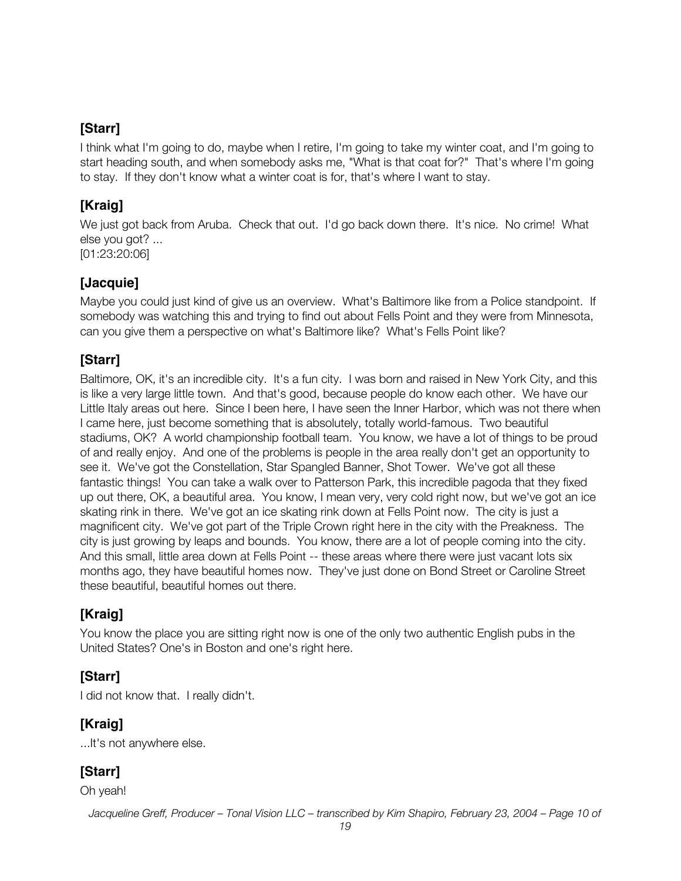I think what I'm going to do, maybe when I retire, I'm going to take my winter coat, and I'm going to start heading south, and when somebody asks me, "What is that coat for?" That's where I'm going to stay. If they don't know what a winter coat is for, that's where I want to stay.

## **[Kraig]**

We just got back from Aruba. Check that out. I'd go back down there. It's nice. No crime! What else you got? ... [01:23:20:06]

#### **[Jacquie]**

Maybe you could just kind of give us an overview. What's Baltimore like from a Police standpoint. If somebody was watching this and trying to find out about Fells Point and they were from Minnesota, can you give them a perspective on what's Baltimore like? What's Fells Point like?

## **[Starr]**

Baltimore, OK, it's an incredible city. It's a fun city. I was born and raised in New York City, and this is like a very large little town. And that's good, because people do know each other. We have our Little Italy areas out here. Since I been here, I have seen the Inner Harbor, which was not there when I came here, just become something that is absolutely, totally world-famous. Two beautiful stadiums, OK? A world championship football team. You know, we have a lot of things to be proud of and really enjoy. And one of the problems is people in the area really don't get an opportunity to see it. We've got the Constellation, Star Spangled Banner, Shot Tower. We've got all these fantastic things! You can take a walk over to Patterson Park, this incredible pagoda that they fixed up out there, OK, a beautiful area. You know, I mean very, very cold right now, but we've got an ice skating rink in there. We've got an ice skating rink down at Fells Point now. The city is just a magnificent city. We've got part of the Triple Crown right here in the city with the Preakness. The city is just growing by leaps and bounds. You know, there are a lot of people coming into the city. And this small, little area down at Fells Point -- these areas where there were just vacant lots six months ago, they have beautiful homes now. They've just done on Bond Street or Caroline Street these beautiful, beautiful homes out there.

# **[Kraig]**

You know the place you are sitting right now is one of the only two authentic English pubs in the United States? One's in Boston and one's right here.

## **[Starr]**

I did not know that. I really didn't.

## **[Kraig]**

...It's not anywhere else.

## **[Starr]**

Oh yeah!

*Jacqueline Greff, Producer – Tonal Vision LLC – transcribed by Kim Shapiro, February 23, 2004 – Page 10 of*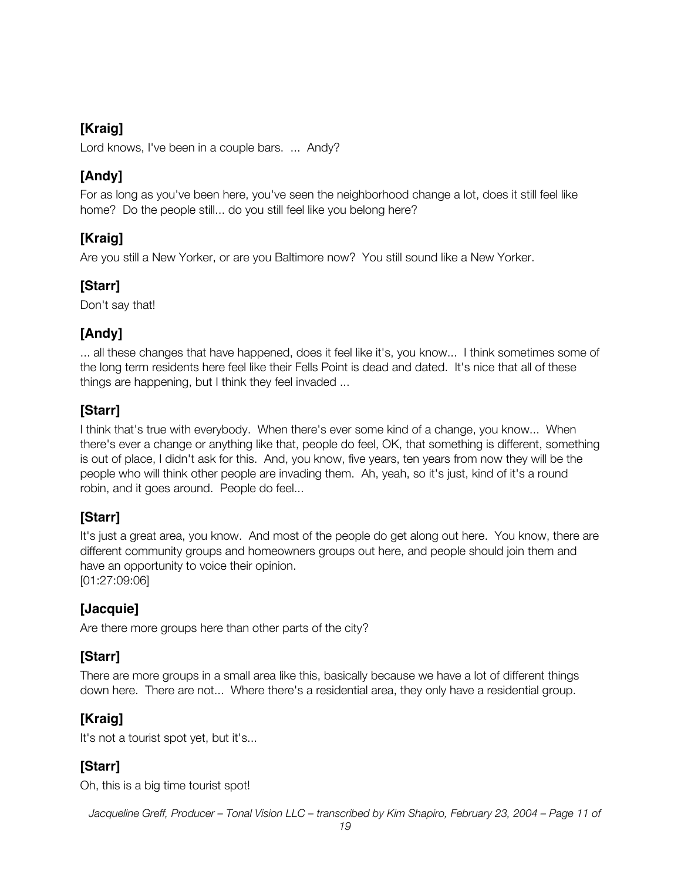Lord knows, I've been in a couple bars. ... Andy?

## **[Andy]**

For as long as you've been here, you've seen the neighborhood change a lot, does it still feel like home? Do the people still... do you still feel like you belong here?

## **[Kraig]**

Are you still a New Yorker, or are you Baltimore now? You still sound like a New Yorker.

## **[Starr]**

Don't say that!

## **[Andy]**

... all these changes that have happened, does it feel like it's, you know... I think sometimes some of the long term residents here feel like their Fells Point is dead and dated. It's nice that all of these things are happening, but I think they feel invaded ...

## **[Starr]**

I think that's true with everybody. When there's ever some kind of a change, you know... When there's ever a change or anything like that, people do feel, OK, that something is different, something is out of place, I didn't ask for this. And, you know, five years, ten years from now they will be the people who will think other people are invading them. Ah, yeah, so it's just, kind of it's a round robin, and it goes around. People do feel...

# **[Starr]**

It's just a great area, you know. And most of the people do get along out here. You know, there are different community groups and homeowners groups out here, and people should join them and have an opportunity to voice their opinion. [01:27:09:06]

# **[Jacquie]**

Are there more groups here than other parts of the city?

## **[Starr]**

There are more groups in a small area like this, basically because we have a lot of different things down here. There are not... Where there's a residential area, they only have a residential group.

# **[Kraig]**

It's not a tourist spot yet, but it's...

# **[Starr]**

Oh, this is a big time tourist spot!

*Jacqueline Greff, Producer – Tonal Vision LLC – transcribed by Kim Shapiro, February 23, 2004 – Page 11 of*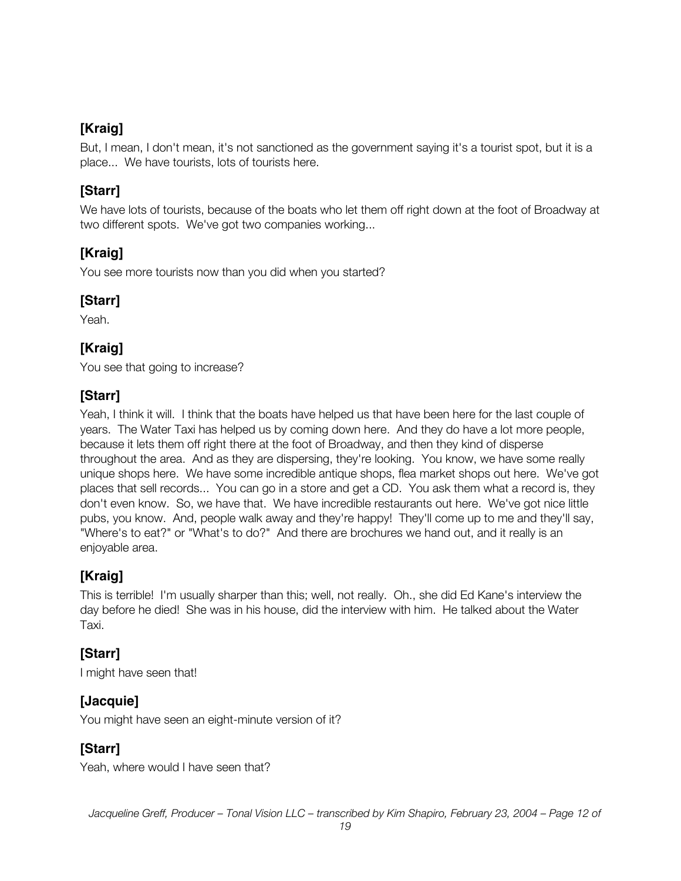But, I mean, I don't mean, it's not sanctioned as the government saying it's a tourist spot, but it is a place... We have tourists, lots of tourists here.

#### **[Starr]**

We have lots of tourists, because of the boats who let them off right down at the foot of Broadway at two different spots. We've got two companies working...

## **[Kraig]**

You see more tourists now than you did when you started?

#### **[Starr]**

Yeah.

#### **[Kraig]**

You see that going to increase?

#### **[Starr]**

Yeah, I think it will. I think that the boats have helped us that have been here for the last couple of years. The Water Taxi has helped us by coming down here. And they do have a lot more people, because it lets them off right there at the foot of Broadway, and then they kind of disperse throughout the area. And as they are dispersing, they're looking. You know, we have some really unique shops here. We have some incredible antique shops, flea market shops out here. We've got places that sell records... You can go in a store and get a CD. You ask them what a record is, they don't even know. So, we have that. We have incredible restaurants out here. We've got nice little pubs, you know. And, people walk away and they're happy! They'll come up to me and they'll say, "Where's to eat?" or "What's to do?" And there are brochures we hand out, and it really is an enjoyable area.

## **[Kraig]**

This is terrible! I'm usually sharper than this; well, not really. Oh., she did Ed Kane's interview the day before he died! She was in his house, did the interview with him. He talked about the Water Taxi.

## **[Starr]**

I might have seen that!

## **[Jacquie]**

You might have seen an eight-minute version of it?

## **[Starr]**

Yeah, where would I have seen that?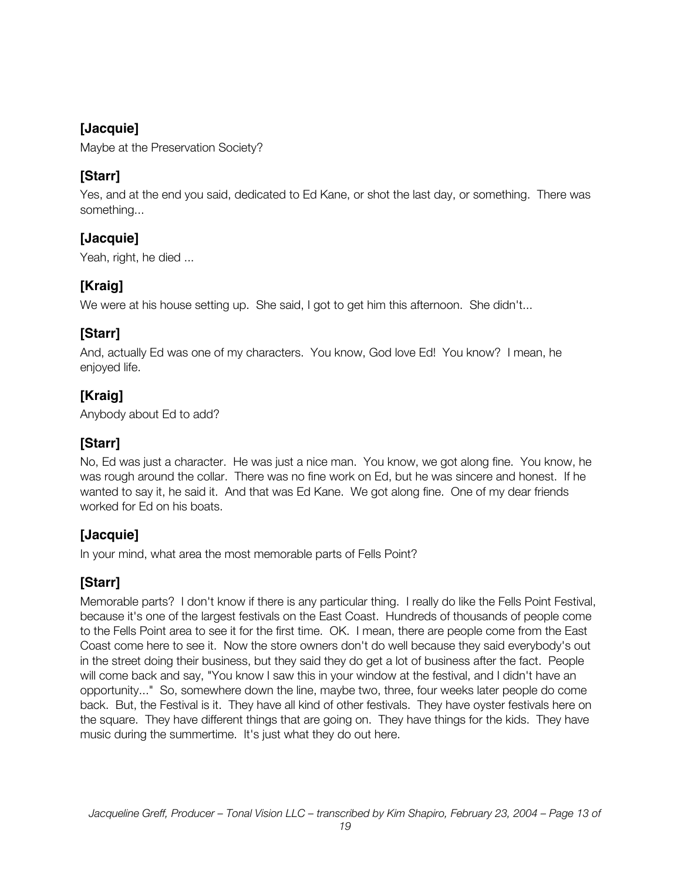#### **[Jacquie]**

Maybe at the Preservation Society?

#### **[Starr]**

Yes, and at the end you said, dedicated to Ed Kane, or shot the last day, or something. There was something...

#### **[Jacquie]**

Yeah, right, he died ...

## **[Kraig]**

We were at his house setting up. She said, I got to get him this afternoon. She didn't...

#### **[Starr]**

And, actually Ed was one of my characters. You know, God love Ed! You know? I mean, he enjoyed life.

## **[Kraig]**

Anybody about Ed to add?

## **[Starr]**

No, Ed was just a character. He was just a nice man. You know, we got along fine. You know, he was rough around the collar. There was no fine work on Ed, but he was sincere and honest. If he wanted to say it, he said it. And that was Ed Kane. We got along fine. One of my dear friends worked for Ed on his boats.

## **[Jacquie]**

In your mind, what area the most memorable parts of Fells Point?

# **[Starr]**

Memorable parts? I don't know if there is any particular thing. I really do like the Fells Point Festival, because it's one of the largest festivals on the East Coast. Hundreds of thousands of people come to the Fells Point area to see it for the first time. OK. I mean, there are people come from the East Coast come here to see it. Now the store owners don't do well because they said everybody's out in the street doing their business, but they said they do get a lot of business after the fact. People will come back and say, "You know I saw this in your window at the festival, and I didn't have an opportunity..." So, somewhere down the line, maybe two, three, four weeks later people do come back. But, the Festival is it. They have all kind of other festivals. They have oyster festivals here on the square. They have different things that are going on. They have things for the kids. They have music during the summertime. It's just what they do out here.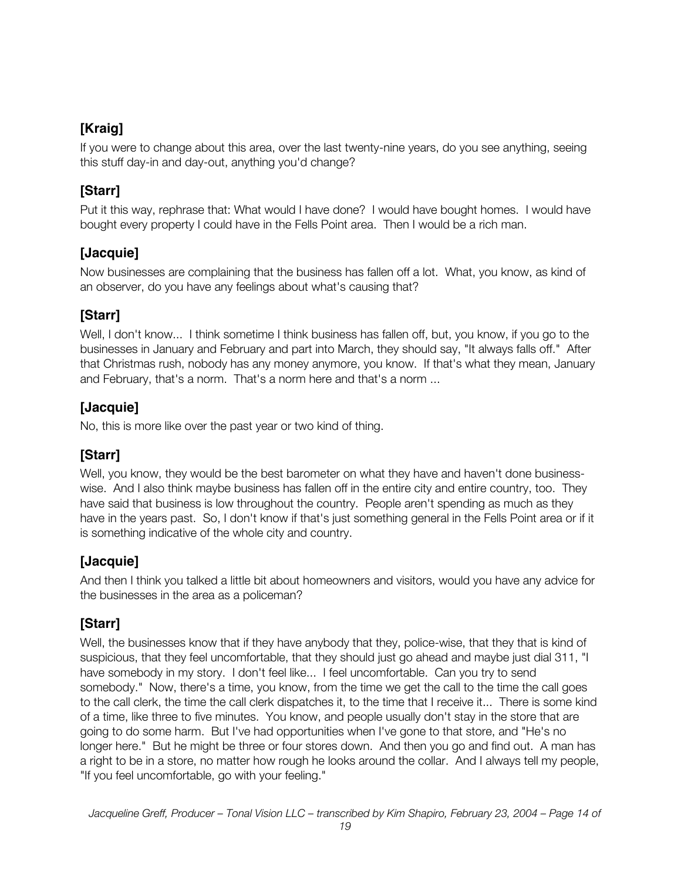If you were to change about this area, over the last twenty-nine years, do you see anything, seeing this stuff day-in and day-out, anything you'd change?

## **[Starr]**

Put it this way, rephrase that: What would I have done? I would have bought homes. I would have bought every property I could have in the Fells Point area. Then I would be a rich man.

## **[Jacquie]**

Now businesses are complaining that the business has fallen off a lot. What, you know, as kind of an observer, do you have any feelings about what's causing that?

# **[Starr]**

Well, I don't know... I think sometime I think business has fallen off, but, you know, if you go to the businesses in January and February and part into March, they should say, "It always falls off." After that Christmas rush, nobody has any money anymore, you know. If that's what they mean, January and February, that's a norm. That's a norm here and that's a norm ...

## **[Jacquie]**

No, this is more like over the past year or two kind of thing.

## **[Starr]**

Well, you know, they would be the best barometer on what they have and haven't done businesswise. And I also think maybe business has fallen off in the entire city and entire country, too. They have said that business is low throughout the country. People aren't spending as much as they have in the years past. So, I don't know if that's just something general in the Fells Point area or if it is something indicative of the whole city and country.

## **[Jacquie]**

And then I think you talked a little bit about homeowners and visitors, would you have any advice for the businesses in the area as a policeman?

## **[Starr]**

Well, the businesses know that if they have anybody that they, police-wise, that they that is kind of suspicious, that they feel uncomfortable, that they should just go ahead and maybe just dial 311, "I have somebody in my story. I don't feel like... I feel uncomfortable. Can you try to send somebody." Now, there's a time, you know, from the time we get the call to the time the call goes to the call clerk, the time the call clerk dispatches it, to the time that I receive it... There is some kind of a time, like three to five minutes. You know, and people usually don't stay in the store that are going to do some harm. But I've had opportunities when I've gone to that store, and "He's no longer here." But he might be three or four stores down. And then you go and find out. A man has a right to be in a store, no matter how rough he looks around the collar. And I always tell my people, "If you feel uncomfortable, go with your feeling."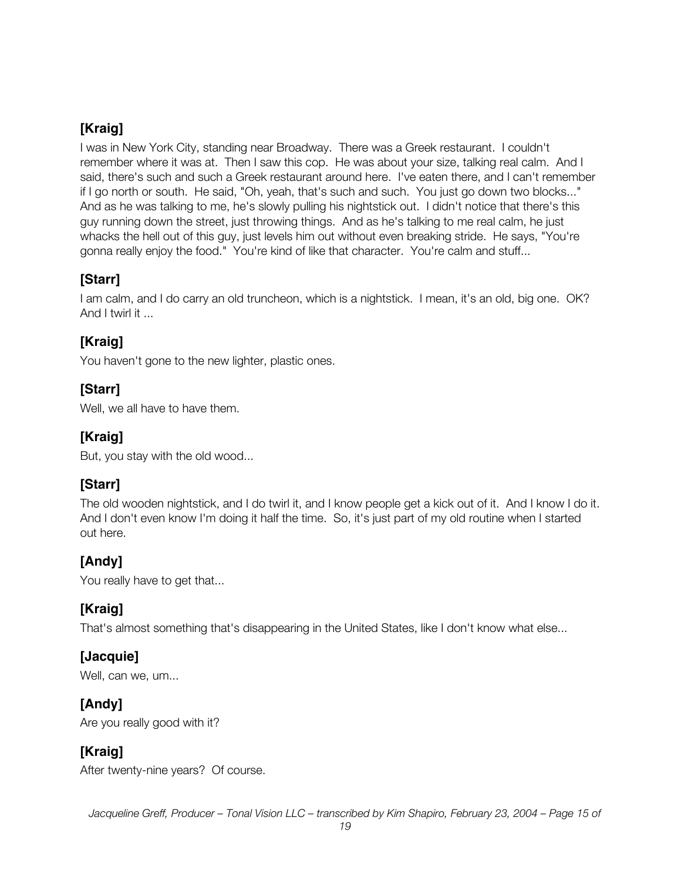I was in New York City, standing near Broadway. There was a Greek restaurant. I couldn't remember where it was at. Then I saw this cop. He was about your size, talking real calm. And I said, there's such and such a Greek restaurant around here. I've eaten there, and I can't remember if I go north or south. He said, "Oh, yeah, that's such and such. You just go down two blocks..." And as he was talking to me, he's slowly pulling his nightstick out. I didn't notice that there's this guy running down the street, just throwing things. And as he's talking to me real calm, he just whacks the hell out of this guy, just levels him out without even breaking stride. He says, "You're gonna really enjoy the food." You're kind of like that character. You're calm and stuff...

## **[Starr]**

I am calm, and I do carry an old truncheon, which is a nightstick. I mean, it's an old, big one. OK? And I twirl it ...

# **[Kraig]**

You haven't gone to the new lighter, plastic ones.

## **[Starr]**

Well, we all have to have them.

#### **[Kraig]**

But, you stay with the old wood...

## **[Starr]**

The old wooden nightstick, and I do twirl it, and I know people get a kick out of it. And I know I do it. And I don't even know I'm doing it half the time. So, it's just part of my old routine when I started out here.

# **[Andy]**

You really have to get that...

# **[Kraig]**

That's almost something that's disappearing in the United States, like I don't know what else...

## **[Jacquie]**

Well, can we, um...

## **[Andy]**

Are you really good with it?

## **[Kraig]**

After twenty-nine years? Of course.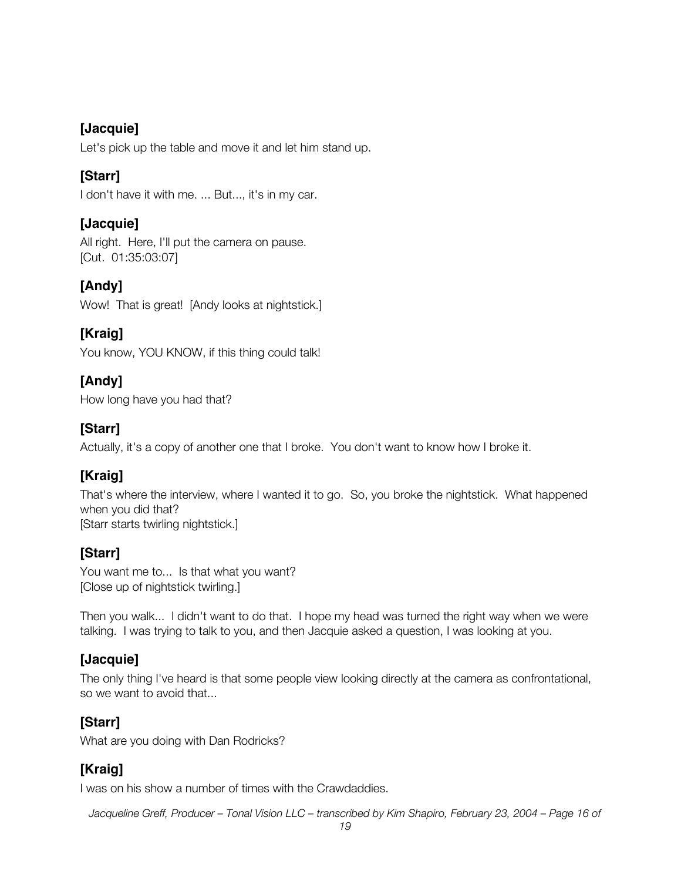#### **[Jacquie]**

Let's pick up the table and move it and let him stand up.

#### **[Starr]**

I don't have it with me. ... But..., it's in my car.

#### **[Jacquie]**

All right. Here, I'll put the camera on pause. [Cut. 01:35:03:07]

#### **[Andy]**

Wow! That is great! [Andy looks at nightstick.]

#### **[Kraig]**

You know, YOU KNOW, if this thing could talk!

## **[Andy]**

How long have you had that?

#### **[Starr]**

Actually, it's a copy of another one that I broke. You don't want to know how I broke it.

## **[Kraig]**

That's where the interview, where I wanted it to go. So, you broke the nightstick. What happened when you did that? [Starr starts twirling nightstick.]

#### **[Starr]**

You want me to... Is that what you want? [Close up of nightstick twirling.]

Then you walk... I didn't want to do that. I hope my head was turned the right way when we were talking. I was trying to talk to you, and then Jacquie asked a question, I was looking at you.

#### **[Jacquie]**

The only thing I've heard is that some people view looking directly at the camera as confrontational, so we want to avoid that...

## **[Starr]**

What are you doing with Dan Rodricks?

## **[Kraig]**

I was on his show a number of times with the Crawdaddies.

*Jacqueline Greff, Producer – Tonal Vision LLC – transcribed by Kim Shapiro, February 23, 2004 – Page 16 of*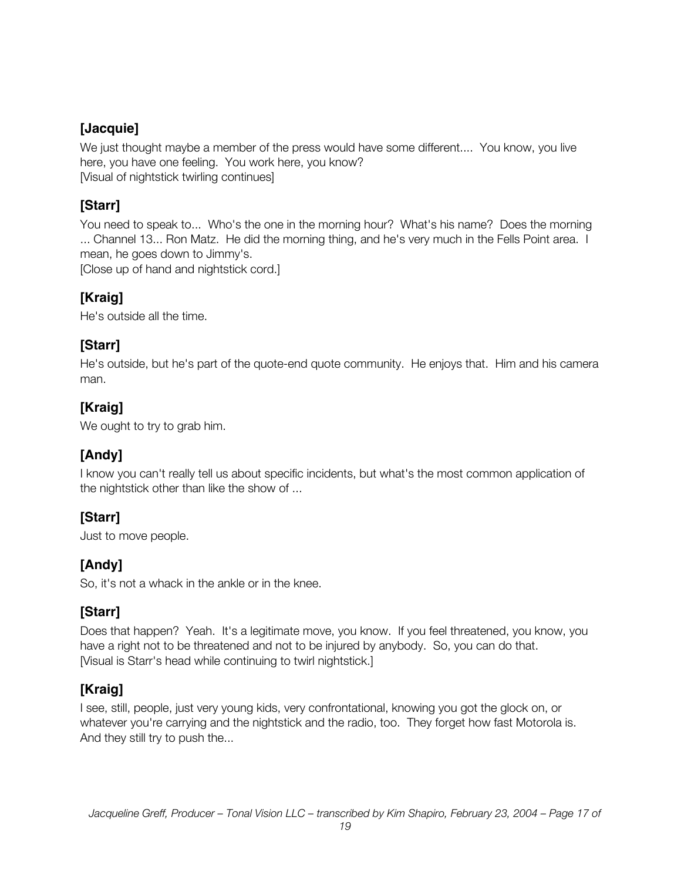#### **[Jacquie]**

We just thought maybe a member of the press would have some different.... You know, you live here, you have one feeling. You work here, you know? [Visual of nightstick twirling continues]

# **[Starr]**

You need to speak to... Who's the one in the morning hour? What's his name? Does the morning ... Channel 13... Ron Matz. He did the morning thing, and he's very much in the Fells Point area. I mean, he goes down to Jimmy's. [Close up of hand and nightstick cord.]

## **[Kraig]**

He's outside all the time.

#### **[Starr]**

He's outside, but he's part of the quote-end quote community. He enjoys that. Him and his camera man.

## **[Kraig]**

We ought to try to grab him.

## **[Andy]**

I know you can't really tell us about specific incidents, but what's the most common application of the nightstick other than like the show of ...

## **[Starr]**

Just to move people.

## **[Andy]**

So, it's not a whack in the ankle or in the knee.

## **[Starr]**

Does that happen? Yeah. It's a legitimate move, you know. If you feel threatened, you know, you have a right not to be threatened and not to be injured by anybody. So, you can do that. [Visual is Starr's head while continuing to twirl nightstick.]

## **[Kraig]**

I see, still, people, just very young kids, very confrontational, knowing you got the glock on, or whatever you're carrying and the nightstick and the radio, too. They forget how fast Motorola is. And they still try to push the...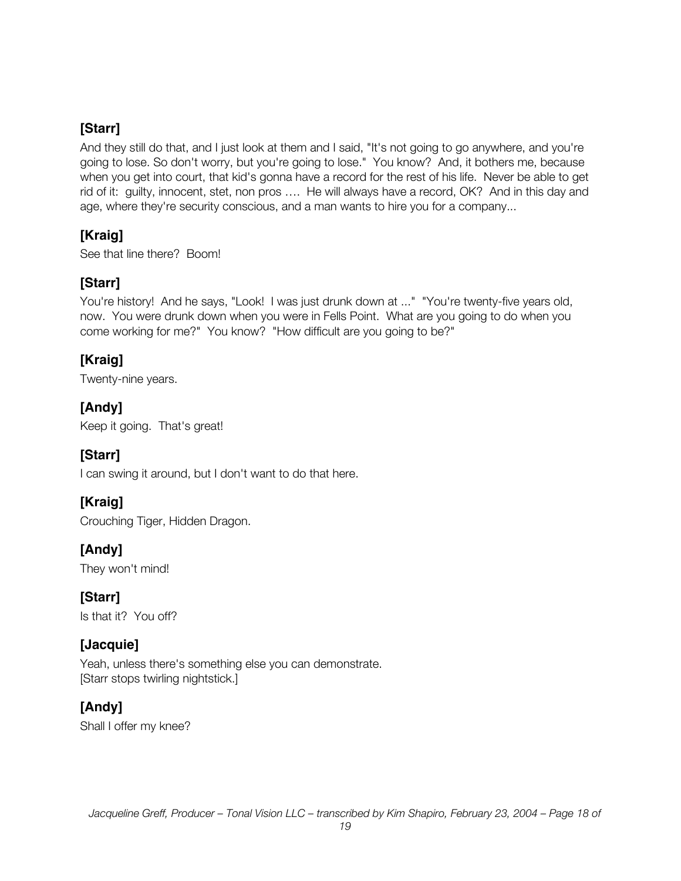And they still do that, and I just look at them and I said, "It's not going to go anywhere, and you're going to lose. So don't worry, but you're going to lose." You know? And, it bothers me, because when you get into court, that kid's gonna have a record for the rest of his life. Never be able to get rid of it: guilty, innocent, stet, non pros …. He will always have a record, OK? And in this day and age, where they're security conscious, and a man wants to hire you for a company...

## **[Kraig]**

See that line there? Boom!

## **[Starr]**

You're history! And he says, "Look! I was just drunk down at ..." "You're twenty-five years old, now. You were drunk down when you were in Fells Point. What are you going to do when you come working for me?" You know? "How difficult are you going to be?"

## **[Kraig]**

Twenty-nine years.

## **[Andy]**

Keep it going. That's great!

## **[Starr]**

I can swing it around, but I don't want to do that here.

## **[Kraig]**

Crouching Tiger, Hidden Dragon.

## **[Andy]**

They won't mind!

**[Starr]** Is that it? You off?

## **[Jacquie]**

Yeah, unless there's something else you can demonstrate. [Starr stops twirling nightstick.]

## **[Andy]**

Shall I offer my knee?